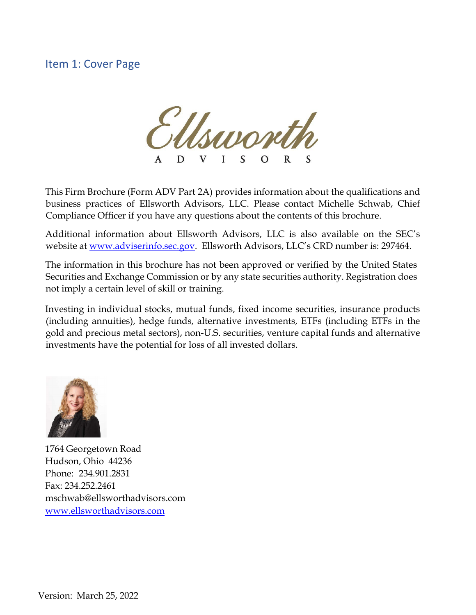# <span id="page-0-0"></span>Item 1: Cover Page



This Firm Brochure (Form ADV Part 2A) provides information about the qualifications and business practices of Ellsworth Advisors, LLC. Please contact Michelle Schwab, Chief Compliance Officer if you have any questions about the contents of this brochure.

Additional information about Ellsworth Advisors, LLC is also available on the SEC's website at [www.adviserinfo.sec.gov.](http://www.adviserinfo.sec.gov/) Ellsworth Advisors, LLC's CRD number is: 297464.

The information in this brochure has not been approved or verified by the United States Securities and Exchange Commission or by any state securities authority. Registration does not imply a certain level of skill or training.

Investing in individual stocks, mutual funds, fixed income securities, insurance products (including annuities), hedge funds, alternative investments, ETFs (including ETFs in the gold and precious metal sectors), non-U.S. securities, venture capital funds and alternative investments have the potential for loss of all invested dollars.



1764 Georgetown Road Hudson, Ohio 44236 Phone: 234.901.2831 Fax: 234.252.2461 [mschwab@ellsworthadvisors.com](mailto:mschwab@ellsworthadvisors.com) [www.ellsworthadvisors.com](http://www.ellsworthadvisors.com/)

Version: March 25, 2022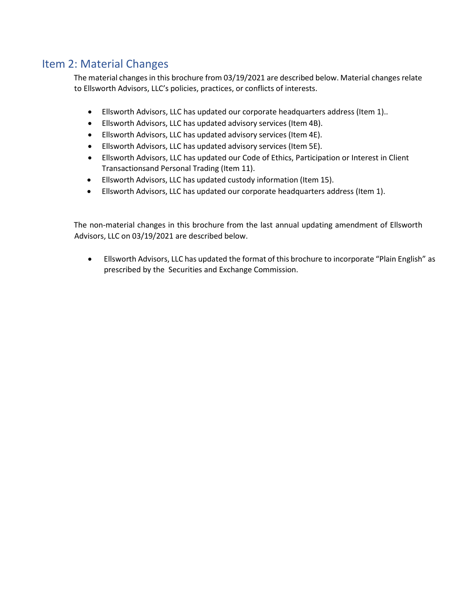# <span id="page-1-0"></span>Item 2: Material Changes

The material changes in this brochure from 03/19/2021 are described below. Material changes relate to Ellsworth Advisors, LLC's policies, practices, or conflicts of interests.

- Ellsworth Advisors, LLC has updated our corporate headquarters address (Item 1)..
- Ellsworth Advisors, LLC has updated advisory services (Item 4B).
- Ellsworth Advisors, LLC has updated advisory services (Item 4E).
- Ellsworth Advisors, LLC has updated advisory services (Item 5E).
- Ellsworth Advisors, LLC has updated our Code of Ethics, Participation or Interest in Client Transactionsand Personal Trading (Item 11).
- Ellsworth Advisors, LLC has updated custody information (Item 15).
- Ellsworth Advisors, LLC has updated our corporate headquarters address (Item 1).

The non-material changes in this brochure from the last annual updating amendment of Ellsworth Advisors, LLC on 03/19/2021 are described below.

• Ellsworth Advisors, LLC has updated the format of this brochure to incorporate "Plain English" as prescribed by the Securities and Exchange Commission.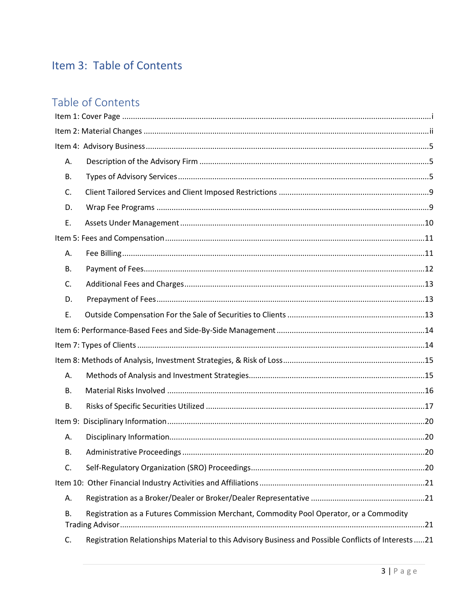# Item 3: Table of Contents

# Table of Contents

| А.        |                                                                                                      |  |
|-----------|------------------------------------------------------------------------------------------------------|--|
| В.        |                                                                                                      |  |
| C.        |                                                                                                      |  |
| D.        |                                                                                                      |  |
| Ε.        |                                                                                                      |  |
|           |                                                                                                      |  |
| А.        |                                                                                                      |  |
| В.        |                                                                                                      |  |
| C.        |                                                                                                      |  |
| D.        |                                                                                                      |  |
| Е.        |                                                                                                      |  |
|           |                                                                                                      |  |
|           |                                                                                                      |  |
|           |                                                                                                      |  |
| А.        |                                                                                                      |  |
| В.        |                                                                                                      |  |
| <b>B.</b> |                                                                                                      |  |
|           |                                                                                                      |  |
| А.        |                                                                                                      |  |
| В.        |                                                                                                      |  |
| C.        |                                                                                                      |  |
|           |                                                                                                      |  |
| А.        |                                                                                                      |  |
| В.        | Registration as a Futures Commission Merchant, Commodity Pool Operator, or a Commodity               |  |
| C.        | Registration Relationships Material to this Advisory Business and Possible Conflicts of Interests 21 |  |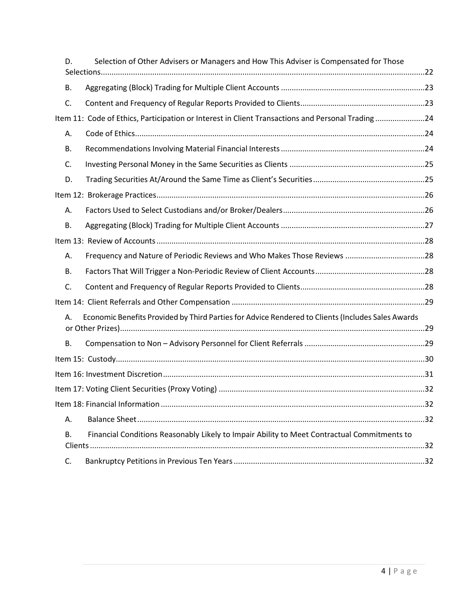| D. | Selection of Other Advisers or Managers and How This Adviser is Compensated for Those             |    |
|----|---------------------------------------------------------------------------------------------------|----|
|    |                                                                                                   |    |
| В. |                                                                                                   |    |
| C. |                                                                                                   |    |
|    | Item 11: Code of Ethics, Participation or Interest in Client Transactions and Personal Trading24  |    |
| Α. |                                                                                                   |    |
| В. |                                                                                                   |    |
| C. |                                                                                                   |    |
| D. |                                                                                                   |    |
|    |                                                                                                   |    |
| Α. |                                                                                                   |    |
| Β. |                                                                                                   |    |
|    |                                                                                                   |    |
| Α. | Frequency and Nature of Periodic Reviews and Who Makes Those Reviews 28                           |    |
| В. |                                                                                                   |    |
| C. |                                                                                                   |    |
|    |                                                                                                   |    |
| А. | Economic Benefits Provided by Third Parties for Advice Rendered to Clients (Includes Sales Awards |    |
| В. |                                                                                                   |    |
|    |                                                                                                   |    |
|    |                                                                                                   |    |
|    |                                                                                                   |    |
|    |                                                                                                   | 32 |
| А. |                                                                                                   |    |
| В. | Financial Conditions Reasonably Likely to Impair Ability to Meet Contractual Commitments to       |    |
| C. |                                                                                                   |    |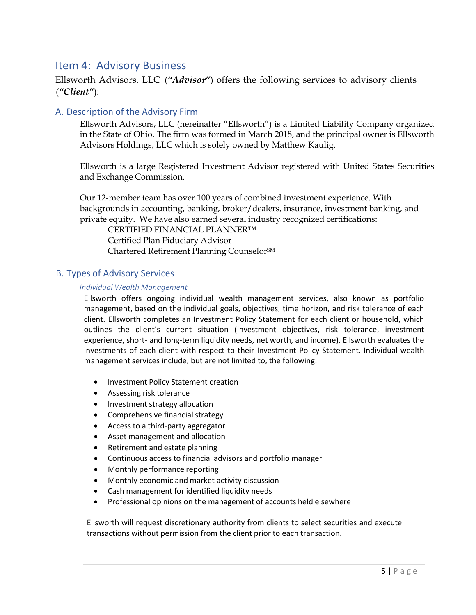# <span id="page-4-0"></span>Item 4: Advisory Business

Ellsworth Advisors, LLC (*"Advisor"*) offers the following services to advisory clients (*"Client"*):

# <span id="page-4-1"></span>A. Description of the Advisory Firm

Ellsworth Advisors, LLC (hereinafter "Ellsworth") is a Limited Liability Company organized in the State of Ohio. The firm was formed in March 2018, and the principal owner is Ellsworth Advisors Holdings, LLC which is solely owned by Matthew Kaulig.

Ellsworth is a large Registered Investment Advisor registered with United States Securities and Exchange Commission.

Our 12-member team has over 100 years of combined investment experience. With backgrounds in accounting, banking, broker/dealers, insurance, investment banking, and private equity. We have also earned several industry recognized certifications:

CERTIFIED FINANCIAL PLANNER™ Certified Plan Fiduciary Advisor Chartered Retirement Planning CounselorSM

## <span id="page-4-2"></span>B. Types of Advisory Services

### *Individual Wealth Management*

Ellsworth offers ongoing individual wealth management services, also known as portfolio management, based on the individual goals, objectives, time horizon, and risk tolerance of each client. Ellsworth completes an Investment Policy Statement for each client or household, which outlines the client's current situation (investment objectives, risk tolerance, investment experience, short- and long-term liquidity needs, net worth, and income). Ellsworth evaluates the investments of each client with respect to their Investment Policy Statement. Individual wealth management services include, but are not limited to, the following:

- Investment Policy Statement creation
- Assessing risk tolerance
- Investment strategy allocation
- Comprehensive financial strategy
- Access to a third-party aggregator
- Asset management and allocation
- Retirement and estate planning
- Continuous access to financial advisors and portfolio manager
- Monthly performance reporting
- Monthly economic and market activity discussion
- Cash management for identified liquidity needs
- Professional opinions on the management of accounts held elsewhere

Ellsworth will request discretionary authority from clients to select securities and execute transactions without permission from the client prior to each transaction.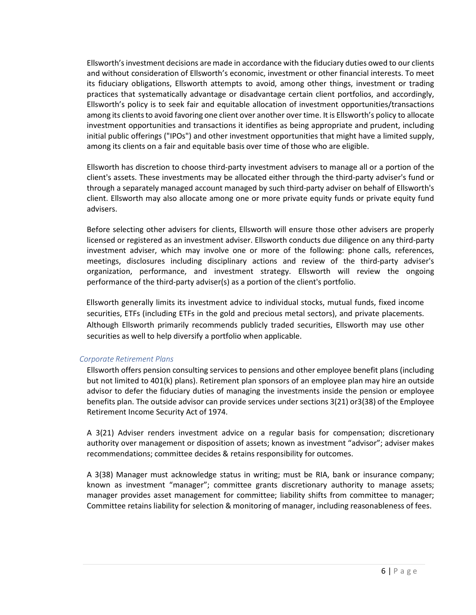Ellsworth'sinvestment decisions are made in accordance with the fiduciary duties owed to our clients and without consideration of Ellsworth's economic, investment or other financial interests. To meet its fiduciary obligations, Ellsworth attempts to avoid, among other things, investment or trading practices that systematically advantage or disadvantage certain client portfolios, and accordingly, Ellsworth's policy is to seek fair and equitable allocation of investment opportunities/transactions among its clients to avoid favoring one client over another over time. It is Ellsworth's policy to allocate investment opportunities and transactions it identifies as being appropriate and prudent, including initial public offerings ("IPOs") and other investment opportunities that might have a limited supply, among its clients on a fair and equitable basis over time of those who are eligible.

Ellsworth has discretion to choose third-party investment advisers to manage all or a portion of the client's assets. These investments may be allocated either through the third-party adviser's fund or through a separately managed account managed by such third-party adviser on behalf of Ellsworth's client. Ellsworth may also allocate among one or more private equity funds or private equity fund advisers.

Before selecting other advisers for clients, Ellsworth will ensure those other advisers are properly licensed or registered as an investment adviser. Ellsworth conducts due diligence on any third-party investment adviser, which may involve one or more of the following: phone calls, references, meetings, disclosures including disciplinary actions and review of the third-party adviser's organization, performance, and investment strategy. Ellsworth will review the ongoing performance of the third-party adviser(s) as a portion of the client's portfolio.

Ellsworth generally limits its investment advice to individual stocks, mutual funds, fixed income securities, ETFs (including ETFs in the gold and precious metal sectors), and private placements. Although Ellsworth primarily recommends publicly traded securities, Ellsworth may use other securities as well to help diversify a portfolio when applicable.

### *Corporate Retirement Plans*

Ellsworth offers pension consulting services to pensions and other employee benefit plans (including but not limited to 401(k) plans). Retirement plan sponsors of an employee plan may hire an outside advisor to defer the fiduciary duties of managing the investments inside the pension or employee benefits plan. The outside advisor can provide services under sections 3(21) or3(38) of the Employee Retirement Income Security Act of 1974.

A 3(21) Adviser renders investment advice on a regular basis for compensation; discretionary authority over management or disposition of assets; known as investment "advisor"; adviser makes recommendations; committee decides & retains responsibility for outcomes.

A 3(38) Manager must acknowledge status in writing; must be RIA, bank or insurance company; known as investment "manager"; committee grants discretionary authority to manage assets; manager provides asset management for committee; liability shifts from committee to manager; Committee retains liability for selection & monitoring of manager, including reasonableness of fees.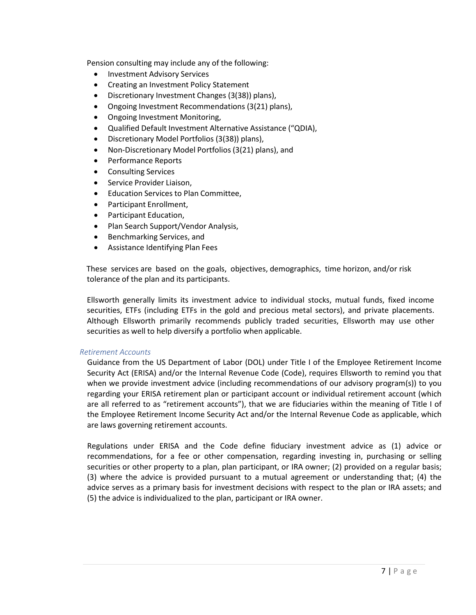Pension consulting may include any of the following:

- Investment Advisory Services
- Creating an Investment Policy Statement
- Discretionary Investment Changes (3(38)) plans),
- Ongoing Investment Recommendations (3(21) plans),
- Ongoing Investment Monitoring,
- Qualified Default Investment Alternative Assistance ("QDIA),
- Discretionary Model Portfolios (3(38)) plans),
- Non-Discretionary Model Portfolios (3(21) plans), and
- Performance Reports
- Consulting Services
- Service Provider Liaison,
- Education Services to Plan Committee,
- Participant Enrollment,
- Participant Education,
- Plan Search Support/Vendor Analysis,
- Benchmarking Services, and
- Assistance Identifying Plan Fees

These services are based on the goals, objectives, demographics, time horizon, and/or risk tolerance of the plan and its participants.

Ellsworth generally limits its investment advice to individual stocks, mutual funds, fixed income securities, ETFs (including ETFs in the gold and precious metal sectors), and private placements. Although Ellsworth primarily recommends publicly traded securities, Ellsworth may use other securities as well to help diversify a portfolio when applicable.

#### *Retirement Accounts*

Guidance from the US Department of Labor (DOL) under Title I of the Employee Retirement Income Security Act (ERISA) and/or the Internal Revenue Code (Code), requires Ellsworth to remind you that when we provide investment advice (including recommendations of our advisory program(s)) to you regarding your ERISA retirement plan or participant account or individual retirement account (which are all referred to as "retirement accounts"), that we are fiduciaries within the meaning of Title I of the Employee Retirement Income Security Act and/or the Internal Revenue Code as applicable, which are laws governing retirement accounts.

Regulations under ERISA and the Code define fiduciary investment advice as (1) advice or recommendations, for a fee or other compensation, regarding investing in, purchasing or selling securities or other property to a plan, plan participant, or IRA owner; (2) provided on a regular basis; (3) where the advice is provided pursuant to a mutual agreement or understanding that; (4) the advice serves as a primary basis for investment decisions with respect to the plan or IRA assets; and (5) the advice is individualized to the plan, participant or IRA owner.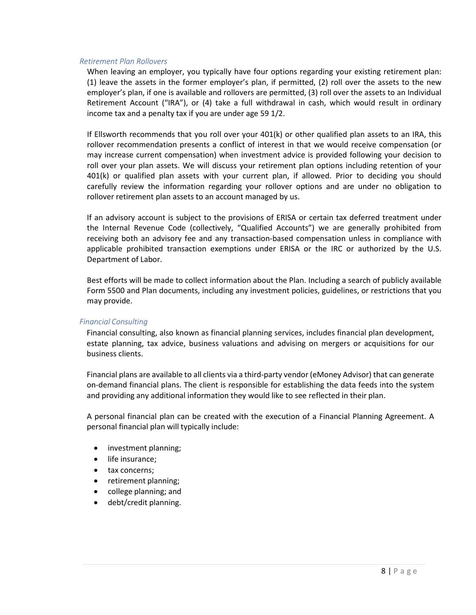#### *Retirement Plan Rollovers*

When leaving an employer, you typically have four options regarding your existing retirement plan: (1) leave the assets in the former employer's plan, if permitted, (2) roll over the assets to the new employer's plan, if one is available and rollovers are permitted, (3) roll over the assets to an Individual Retirement Account ("IRA"), or (4) take a full withdrawal in cash, which would result in ordinary income tax and a penalty tax if you are under age 59 1/2.

If Ellsworth recommends that you roll over your 401(k) or other qualified plan assets to an IRA, this rollover recommendation presents a conflict of interest in that we would receive compensation (or may increase current compensation) when investment advice is provided following your decision to roll over your plan assets. We will discuss your retirement plan options including retention of your 401(k) or qualified plan assets with your current plan, if allowed. Prior to deciding you should carefully review the information regarding your rollover options and are under no obligation to rollover retirement plan assets to an account managed by us.

If an advisory account is subject to the provisions of ERISA or certain tax deferred treatment under the Internal Revenue Code (collectively, "Qualified Accounts") we are generally prohibited from receiving both an advisory fee and any transaction-based compensation unless in compliance with applicable prohibited transaction exemptions under ERISA or the IRC or authorized by the U.S. Department of Labor.

Best efforts will be made to collect information about the Plan. Including a search of publicly available Form 5500 and Plan documents, including any investment policies, guidelines, or restrictions that you may provide.

#### *Financial Consulting*

Financial consulting, also known as financial planning services, includes financial plan development, estate planning, tax advice, business valuations and advising on mergers or acquisitions for our business clients.

Financial plans are available to all clients via a third-party vendor (eMoney Advisor) that can generate on-demand financial plans. The client is responsible for establishing the data feeds into the system and providing any additional information they would like to see reflected in their plan.

A personal financial plan can be created with the execution of a Financial Planning Agreement. A personal financial plan will typically include:

- investment planning;
- life insurance:
- tax concerns;
- retirement planning;
- college planning; and
- debt/credit planning.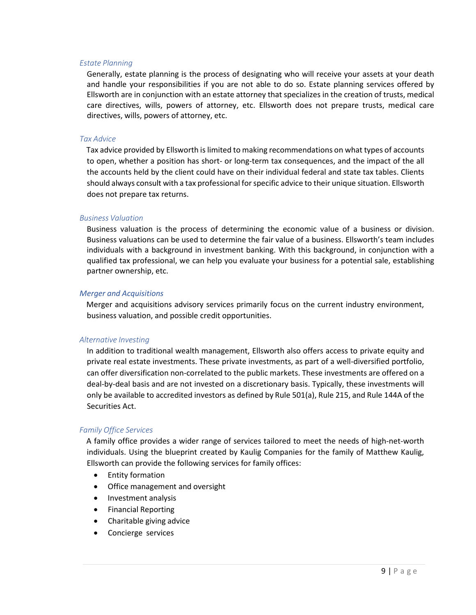#### *Estate Planning*

Generally, estate planning is the process of designating who will receive your assets at your death and handle your responsibilities if you are not able to do so. Estate planning services offered by Ellsworth are in conjunction with an estate attorney that specializes in the creation of trusts, medical care directives, wills, powers of attorney, etc. Ellsworth does not prepare trusts, medical care directives, wills, powers of attorney, etc.

#### *Tax Advice*

Tax advice provided by Ellsworth is limited to making recommendations on what types of accounts to open, whether a position has short- or long-term tax consequences, and the impact of the all the accounts held by the client could have on their individual federal and state tax tables. Clients should always consult with a tax professional for specific advice to their unique situation. Ellsworth does not prepare tax returns.

#### *Business Valuation*

Business valuation is the process of determining the economic value of a business or division. Business valuations can be used to determine the fair value of a business. Ellsworth's team includes individuals with a background in investment banking. With this background, in conjunction with a qualified tax professional, we can help you evaluate your business for a potential sale, establishing partner ownership, etc.

#### *Merger and Acquisitions*

Merger and acquisitions advisory services primarily focus on the current industry environment, business valuation, and possible credit opportunities.

#### *Alternative Investing*

In addition to traditional wealth management, Ellsworth also offers access to private equity and private real estate investments. These private investments, as part of a well-diversified portfolio, can offer diversification non-correlated to the public markets. These investments are offered on a deal-by-deal basis and are not invested on a discretionary basis. Typically, these investments will only be available to accredited investors as defined by Rule 501(a), Rule 215, and Rule 144A of the Securities Act.

#### *Family Office Services*

A family office provides a wider range of services tailored to meet the needs of high-net-worth individuals. Using the blueprint created by Kaulig Companies for the family of Matthew Kaulig, Ellsworth can provide the following services for family offices:

- Entity formation
- Office management and oversight
- Investment analysis
- Financial Reporting
- Charitable giving advice
- Concierge services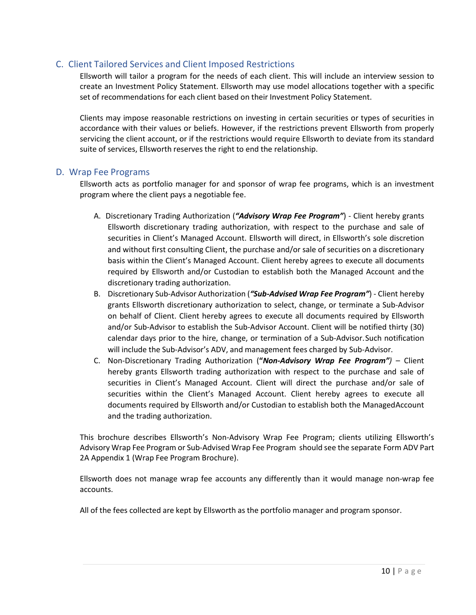## <span id="page-9-0"></span>C. Client Tailored Services and Client Imposed Restrictions

Ellsworth will tailor a program for the needs of each client. This will include an interview session to create an Investment Policy Statement. Ellsworth may use model allocations together with a specific set of recommendations for each client based on their Investment Policy Statement.

Clients may impose reasonable restrictions on investing in certain securities or types of securities in accordance with their values or beliefs. However, if the restrictions prevent Ellsworth from properly servicing the client account, or if the restrictions would require Ellsworth to deviate from its standard suite of services, Ellsworth reserves the right to end the relationship.

## <span id="page-9-1"></span>D. Wrap Fee Programs

Ellsworth acts as portfolio manager for and sponsor of wrap fee programs, which is an investment program where the client pays a negotiable fee.

- A. Discretionary Trading Authorization (*"Advisory Wrap Fee Program"*) Client hereby grants Ellsworth discretionary trading authorization, with respect to the purchase and sale of securities in Client's Managed Account. Ellsworth will direct, in Ellsworth's sole discretion and without first consulting Client, the purchase and/or sale of securities on a discretionary basis within the Client's Managed Account. Client hereby agrees to execute all documents required by Ellsworth and/or Custodian to establish both the Managed Account and the discretionary trading authorization.
- B. Discretionary Sub-Advisor Authorization (*"Sub-Advised Wrap Fee Program"*) Client hereby grants Ellsworth discretionary authorization to select, change, or terminate a Sub-Advisor on behalf of Client. Client hereby agrees to execute all documents required by Ellsworth and/or Sub-Advisor to establish the Sub-Advisor Account. Client will be notified thirty (30) calendar days prior to the hire, change, or termination of a Sub-Advisor.Such notification will include the Sub-Advisor's ADV, and management fees charged by Sub-Advisor.
- C. Non-Discretionary Trading Authorization (**"***Non-Advisory Wrap Fee Program")*  Client hereby grants Ellsworth trading authorization with respect to the purchase and sale of securities in Client's Managed Account. Client will direct the purchase and/or sale of securities within the Client's Managed Account. Client hereby agrees to execute all documents required by Ellsworth and/or Custodian to establish both the ManagedAccount and the trading authorization.

This brochure describes Ellsworth's Non-Advisory Wrap Fee Program; clients utilizing Ellsworth's Advisory Wrap Fee Program or Sub-Advised Wrap Fee Program should see the separate Form ADV Part 2A Appendix 1 (Wrap Fee Program Brochure).

Ellsworth does not manage wrap fee accounts any differently than it would manage non-wrap fee accounts.

All of the fees collected are kept by Ellsworth as the portfolio manager and program sponsor.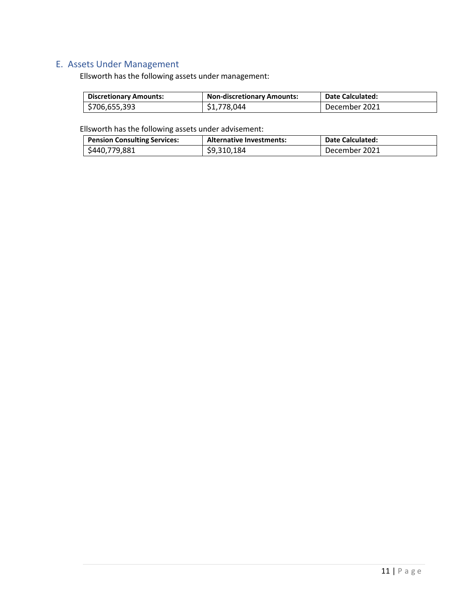# <span id="page-10-0"></span>E. Assets Under Management

Ellsworth has the following assets under management:

| <b>Discretionary Amounts:</b> | <b>Non-discretionary Amounts:</b> | <b>Date Calculated:</b> |
|-------------------------------|-----------------------------------|-------------------------|
| \$706,655,393                 | \$1,778,044                       | December 2021           |

Ellsworth has the following assets under advisement:

| <b>Pension Consulting Services:</b> | <b>Alternative Investments:</b> | <b>Date Calculated:</b> |
|-------------------------------------|---------------------------------|-------------------------|
| \$440,779,881                       | \$9,310,184                     | December 2021           |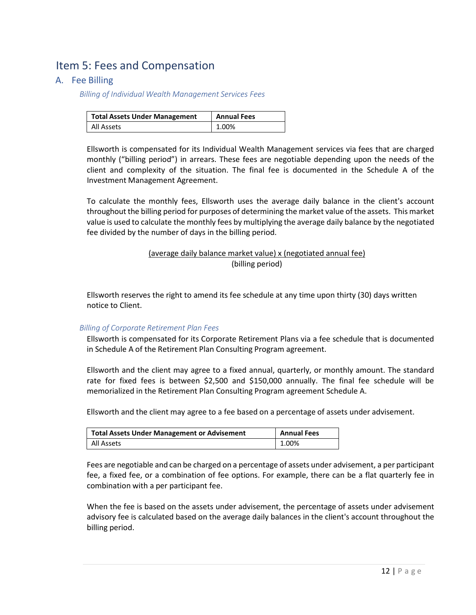# <span id="page-11-0"></span>Item 5: Fees and Compensation

## <span id="page-11-1"></span>A. Fee Billing

*Billing of Individual Wealth Management Services Fees*

| <b>Total Assets Under Management</b> | <b>Annual Fees</b> |
|--------------------------------------|--------------------|
| All Assets                           | 1.00%              |

Ellsworth is compensated for its Individual Wealth Management services via fees that are charged monthly ("billing period") in arrears. These fees are negotiable depending upon the needs of the client and complexity of the situation. The final fee is documented in the Schedule A of the Investment Management Agreement.

To calculate the monthly fees, Ellsworth uses the average daily balance in the client's account throughout the billing period for purposes of determining the market value of the assets. This market value is used to calculate the monthly fees by multiplying the average daily balance by the negotiated fee divided by the number of days in the billing period.

## (average daily balance market value) x (negotiated annual fee) (billing period)

Ellsworth reserves the right to amend its fee schedule at any time upon thirty (30) days written notice to Client.

### *Billing of Corporate Retirement Plan Fees*

Ellsworth is compensated for its Corporate Retirement Plans via a fee schedule that is documented in Schedule A of the Retirement Plan Consulting Program agreement.

Ellsworth and the client may agree to a fixed annual, quarterly, or monthly amount. The standard rate for fixed fees is between \$2,500 and \$150,000 annually. The final fee schedule will be memorialized in the Retirement Plan Consulting Program agreement Schedule A.

Ellsworth and the client may agree to a fee based on a percentage of assets under advisement.

| <b>Total Assets Under Management or Advisement</b> | <b>Annual Fees</b> |
|----------------------------------------------------|--------------------|
| All Assets                                         | 1.00%              |

Fees are negotiable and can be charged on a percentage of assets under advisement, a per participant fee, a fixed fee, or a combination of fee options. For example, there can be a flat quarterly fee in combination with a per participant fee.

When the fee is based on the assets under advisement, the percentage of assets under advisement advisory fee is calculated based on the average daily balances in the client's account throughout the billing period.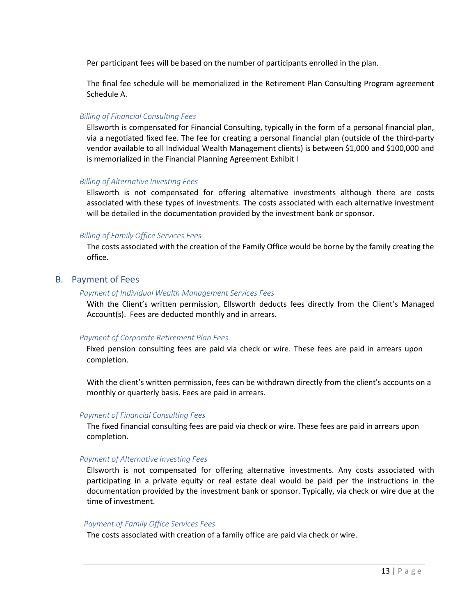Per participant fees will be based on the number of participants enrolled in the plan.

The final fee schedule will be memorialized in the Retirement Plan Consulting Program agreement Schedule A.

#### *Billing of Financial Consulting Fees*

Ellsworth is compensated for Financial Consulting, typically in the form of a personal financial plan, via a negotiated fixed fee. The fee for creating a personal financial plan (outside of the third-party vendor available to all Individual Wealth Management clients) is between \$1,000 and \$100,000 and is memorialized in the Financial Planning Agreement Exhibit I

#### *Billing of Alternative Investing Fees*

Ellsworth is not compensated for offering alternative investments although there are costs associated with these types of investments. The costs associated with each alternative investment will be detailed in the documentation provided by the investment bank or sponsor.

#### *Billing of Family Office Services Fees*

The costs associated with the creation of the Family Office would be borne by the family creating the office.

## <span id="page-12-0"></span>B. Payment of Fees

#### *Payment of Individual Wealth Management Services Fees*

With the Client's written permission, Ellsworth deducts fees directly from the Client's Managed Account(s). Fees are deducted monthly and in arrears.

#### *Payment of Corporate Retirement Plan Fees*

Fixed pension consulting fees are paid via check or wire. These fees are paid in arrears upon completion.

With the client's written permission, fees can be withdrawn directly from the client's accounts on a monthly or quarterly basis. Fees are paid in arrears.

#### *Payment of Financial Consulting Fees*

The fixed financial consulting fees are paid via check or wire. These fees are paid in arrears upon completion.

#### *Payment of Alternative Investing Fees*

Ellsworth is not compensated for offering alternative investments. Any costs associated with participating in a private equity or real estate deal would be paid per the instructions in the documentation provided by the investment bank or sponsor. Typically, via check or wire due at the time of investment.

#### *Payment of Family Office Services Fees*

The costs associated with creation of a family office are paid via check or wire.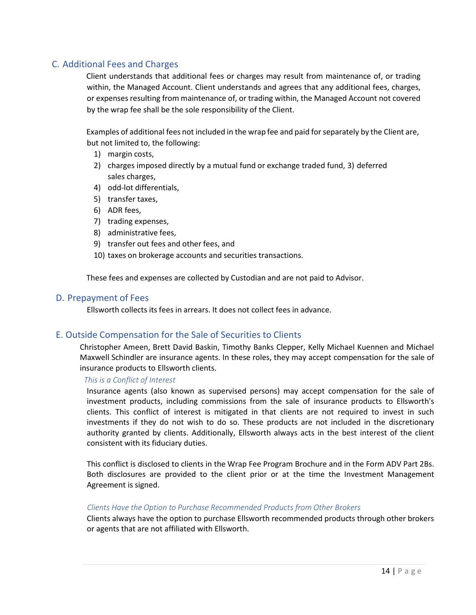# <span id="page-13-0"></span>C. Additional Fees and Charges

Client understands that additional fees or charges may result from maintenance of, or trading within, the Managed Account. Client understands and agrees that any additional fees, charges, or expenses resulting from maintenance of, or trading within, the Managed Account not covered by the wrap fee shall be the sole responsibility of the Client.

Examples of additional fees not included in the wrap fee and paid forseparately by the Client are, but not limited to, the following:

- 1) margin costs,
- 2) charges imposed directly by a mutual fund or exchange traded fund, 3) deferred sales charges,
- 4) odd-lot differentials,
- 5) transfer taxes,
- 6) ADR fees,
- 7) trading expenses,
- 8) administrative fees,
- 9) transfer out fees and other fees, and
- 10) taxes on brokerage accounts and securities transactions.

These fees and expenses are collected by Custodian and are not paid to Advisor.

### <span id="page-13-1"></span>D. Prepayment of Fees

Ellsworth collects its fees in arrears. It does not collect fees in advance.

## <span id="page-13-2"></span>E. Outside Compensation for the Sale of Securities to Clients

Christopher Ameen, Brett David Baskin, Timothy Banks Clepper, Kelly Michael Kuennen and Michael Maxwell Schindler are insurance agents. In these roles, they may accept compensation for the sale of insurance products to Ellsworth clients.

### *This is a Conflict of Interest*

Insurance agents (also known as supervised persons) may accept compensation for the sale of investment products, including commissions from the sale of insurance products to Ellsworth's clients. This conflict of interest is mitigated in that clients are not required to invest in such investments if they do not wish to do so. These products are not included in the discretionary authority granted by clients. Additionally, Ellsworth always acts in the best interest of the client consistent with its fiduciary duties.

This conflict is disclosed to clients in the Wrap Fee Program Brochure and in the Form ADV Part 2Bs. Both disclosures are provided to the client prior or at the time the Investment Management Agreement is signed.

### *Clients Have the Option to Purchase Recommended Products from Other Brokers*

Clients always have the option to purchase Ellsworth recommended products through other brokers or agents that are not affiliated with Ellsworth.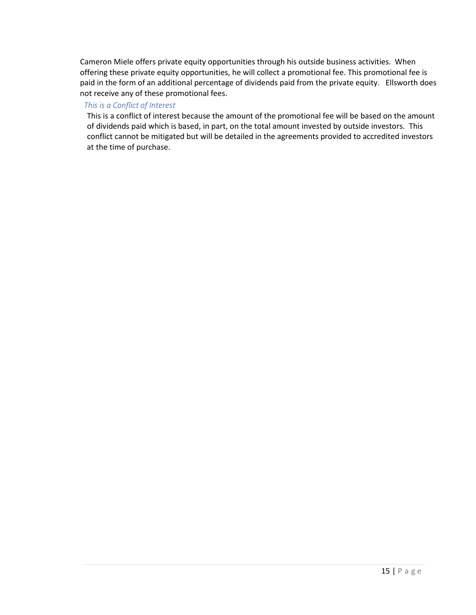Cameron Miele offers private equity opportunities through his outside business activities. When offering these private equity opportunities, he will collect a promotional fee. This promotional fee is paid in the form of an additional percentage of dividends paid from the private equity. Ellsworth does not receive any of these promotional fees.

### *This is a Conflict of Interest*

This is a conflict of interest because the amount of the promotional fee will be based on the amount of dividends paid which is based, in part, on the total amount invested by outside investors. This conflict cannot be mitigated but will be detailed in the agreements provided to accredited investors at the time of purchase.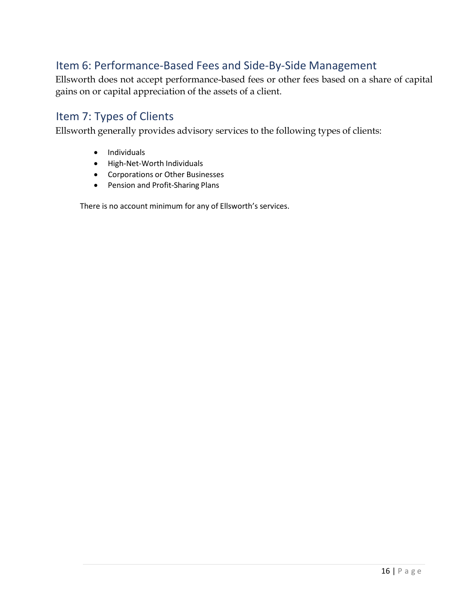# <span id="page-15-0"></span>Item 6: Performance-Based Fees and Side-By-Side Management

Ellsworth does not accept performance-based fees or other fees based on a share of capital gains on or capital appreciation of the assets of a client.

# <span id="page-15-1"></span>Item 7: Types of Clients

Ellsworth generally provides advisory services to the following types of clients:

- Individuals
- High-Net-Worth Individuals
- Corporations or Other Businesses
- Pension and Profit-Sharing Plans

There is no account minimum for any of Ellsworth's services.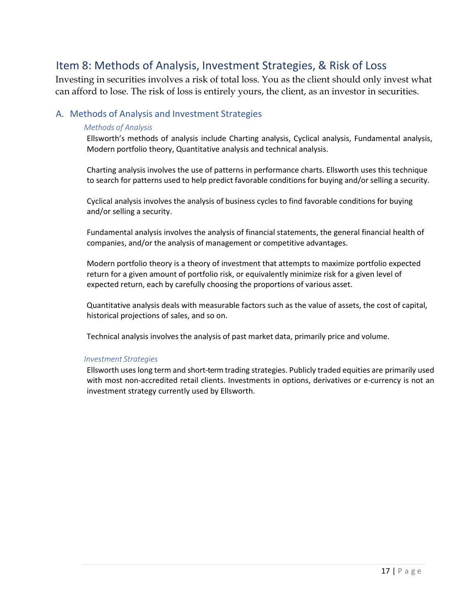# <span id="page-16-0"></span>Item 8: Methods of Analysis, Investment Strategies, & Risk of Loss

Investing in securities involves a risk of total loss. You as the client should only invest what can afford to lose. The risk of loss is entirely yours, the client, as an investor in securities.

## <span id="page-16-1"></span>A. Methods of Analysis and Investment Strategies

### *Methods of Analysis*

Ellsworth's methods of analysis include Charting analysis, Cyclical analysis, Fundamental analysis, Modern portfolio theory, Quantitative analysis and technical analysis.

Charting analysis involves the use of patterns in performance charts. Ellsworth uses this technique to search for patterns used to help predict favorable conditions for buying and/or selling a security.

Cyclical analysis involves the analysis of business cycles to find favorable conditions for buying and/or selling a security.

Fundamental analysis involves the analysis of financial statements, the general financial health of companies, and/or the analysis of management or competitive advantages.

Modern portfolio theory is a theory of investment that attempts to maximize portfolio expected return for a given amount of portfolio risk, or equivalently minimize risk for a given level of expected return, each by carefully choosing the proportions of various asset.

Quantitative analysis deals with measurable factors such as the value of assets, the cost of capital, historical projections of sales, and so on.

Technical analysis involves the analysis of past market data, primarily price and volume.

### *Investment Strategies*

Ellsworth uses long term and short-termtrading strategies. Publicly traded equities are primarily used with most non-accredited retail clients. Investments in options, derivatives or e-currency is not an investment strategy currently used by Ellsworth.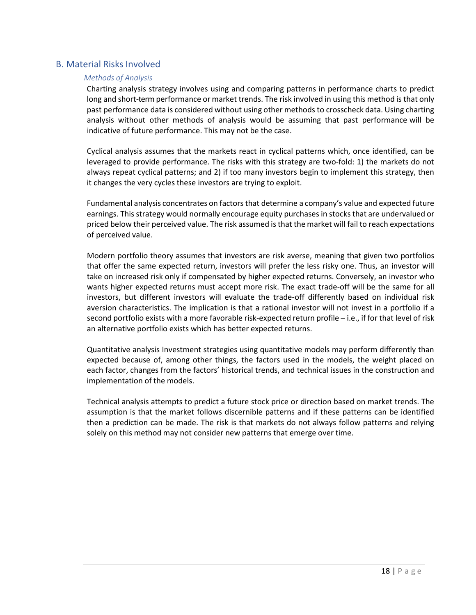## <span id="page-17-0"></span>B. Material Risks Involved

#### *Methods of Analysis*

Charting analysis strategy involves using and comparing patterns in performance charts to predict long and short-term performance or market trends. The risk involved in using this method is that only past performance data is considered without using other methods to crosscheck data. Using charting analysis without other methods of analysis would be assuming that past performance will be indicative of future performance. This may not be the case.

Cyclical analysis assumes that the markets react in cyclical patterns which, once identified, can be leveraged to provide performance. The risks with this strategy are two-fold: 1) the markets do not always repeat cyclical patterns; and 2) if too many investors begin to implement this strategy, then it changes the very cycles these investors are trying to exploit.

Fundamental analysis concentrates on factorsthat determine a company's value and expected future earnings. This strategy would normally encourage equity purchases in stocks that are undervalued or priced below their perceived value. The risk assumed isthat the market will fail to reach expectations of perceived value.

Modern portfolio theory assumes that investors are risk averse, meaning that given two portfolios that offer the same expected return, investors will prefer the less risky one. Thus, an investor will take on increased risk only if compensated by higher expected returns. Conversely, an investor who wants higher expected returns must accept more risk. The exact trade-off will be the same for all investors, but different investors will evaluate the trade-off differently based on individual risk aversion characteristics. The implication is that a rational investor will not invest in a portfolio if a second portfolio exists with a more favorable risk-expected return profile – i.e., if for that level of risk an alternative portfolio exists which has better expected returns.

Quantitative analysis Investment strategies using quantitative models may perform differently than expected because of, among other things, the factors used in the models, the weight placed on each factor, changes from the factors' historical trends, and technical issues in the construction and implementation of the models.

Technical analysis attempts to predict a future stock price or direction based on market trends. The assumption is that the market follows discernible patterns and if these patterns can be identified then a prediction can be made. The risk is that markets do not always follow patterns and relying solely on this method may not consider new patterns that emerge over time.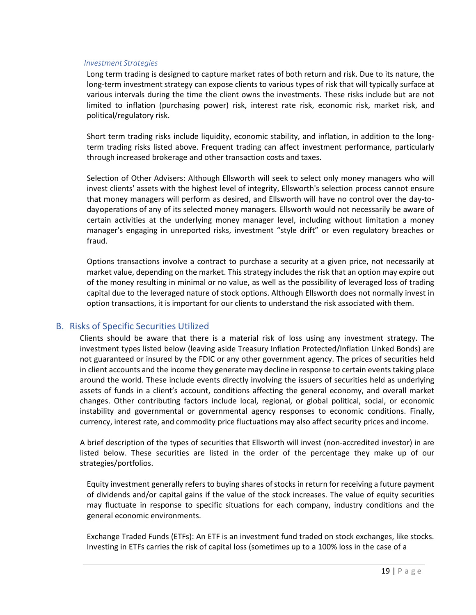#### *Investment Strategies*

Long term trading is designed to capture market rates of both return and risk. Due to its nature, the long-term investment strategy can expose clients to various types of risk that will typically surface at various intervals during the time the client owns the investments. These risks include but are not limited to inflation (purchasing power) risk, interest rate risk, economic risk, market risk, and political/regulatory risk.

Short term trading risks include liquidity, economic stability, and inflation, in addition to the longterm trading risks listed above. Frequent trading can affect investment performance, particularly through increased brokerage and other transaction costs and taxes.

Selection of Other Advisers: Although Ellsworth will seek to select only money managers who will invest clients' assets with the highest level of integrity, Ellsworth's selection process cannot ensure that money managers will perform as desired, and Ellsworth will have no control over the day-todayoperations of any of its selected money managers. Ellsworth would not necessarily be aware of certain activities at the underlying money manager level, including without limitation a money manager's engaging in unreported risks, investment "style drift" or even regulatory breaches or fraud.

Options transactions involve a contract to purchase a security at a given price, not necessarily at market value, depending on the market. This strategy includes the risk that an option may expire out of the money resulting in minimal or no value, as well as the possibility of leveraged loss of trading capital due to the leveraged nature of stock options. Although Ellsworth does not normally invest in option transactions, it is important for our clients to understand the risk associated with them.

## <span id="page-18-0"></span>B. Risks of Specific Securities Utilized

Clients should be aware that there is a material risk of loss using any investment strategy. The investment types listed below (leaving aside Treasury Inflation Protected/Inflation Linked Bonds) are not guaranteed or insured by the FDIC or any other government agency. The prices of securities held in client accounts and the income they generate may decline in response to certain events taking place around the world. These include events directly involving the issuers of securities held as underlying assets of funds in a client's account, conditions affecting the general economy, and overall market changes. Other contributing factors include local, regional, or global political, social, or economic instability and governmental or governmental agency responses to economic conditions. Finally, currency, interest rate, and commodity price fluctuations may also affect security prices and income.

A brief description of the types of securities that Ellsworth will invest (non-accredited investor) in are listed below. These securities are listed in the order of the percentage they make up of our strategies/portfolios.

Equity investment generally refers to buying shares of stocks in return for receiving a future payment of dividends and/or capital gains if the value of the stock increases. The value of equity securities may fluctuate in response to specific situations for each company, industry conditions and the general economic environments.

Exchange Traded Funds (ETFs): An ETF is an investment fund traded on stock exchanges, like stocks. Investing in ETFs carries the risk of capital loss (sometimes up to a 100% loss in the case of a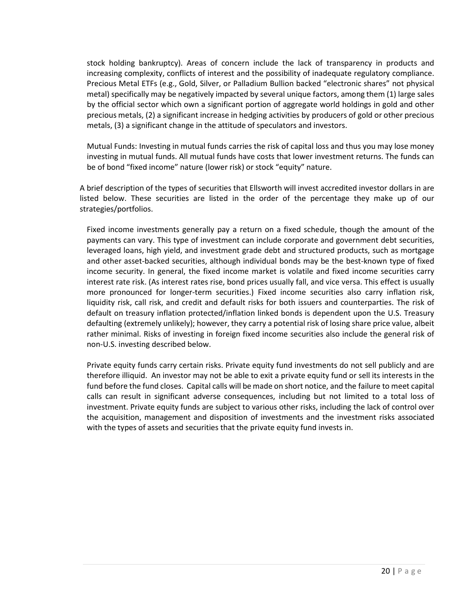stock holding bankruptcy). Areas of concern include the lack of transparency in products and increasing complexity, conflicts of interest and the possibility of inadequate regulatory compliance. Precious Metal ETFs (e.g., Gold, Silver, or Palladium Bullion backed "electronic shares" not physical metal) specifically may be negatively impacted by several unique factors, among them (1) large sales by the official sector which own a significant portion of aggregate world holdings in gold and other precious metals, (2) a significant increase in hedging activities by producers of gold or other precious metals, (3) a significant change in the attitude of speculators and investors.

Mutual Funds: Investing in mutual funds carries the risk of capital loss and thus you may lose money investing in mutual funds. All mutual funds have costs that lower investment returns. The funds can be of bond "fixed income" nature (lower risk) or stock "equity" nature.

A brief description of the types of securities that Ellsworth will invest accredited investor dollars in are listed below. These securities are listed in the order of the percentage they make up of our strategies/portfolios.

Fixed income investments generally pay a return on a fixed schedule, though the amount of the payments can vary. This type of investment can include corporate and government debt securities, leveraged loans, high yield, and investment grade debt and structured products, such as mortgage and other asset-backed securities, although individual bonds may be the best-known type of fixed income security. In general, the fixed income market is volatile and fixed income securities carry interest rate risk. (As interest rates rise, bond prices usually fall, and vice versa. This effect is usually more pronounced for longer-term securities.) Fixed income securities also carry inflation risk, liquidity risk, call risk, and credit and default risks for both issuers and counterparties. The risk of default on treasury inflation protected/inflation linked bonds is dependent upon the U.S. Treasury defaulting (extremely unlikely); however, they carry a potential risk of losing share price value, albeit rather minimal. Risks of investing in foreign fixed income securities also include the general risk of non-U.S. investing described below.

Private equity funds carry certain risks. Private equity fund investments do not sell publicly and are therefore illiquid. An investor may not be able to exit a private equity fund or sell its interests in the fund before the fund closes. Capital calls will be made on short notice, and the failure to meet capital calls can result in significant adverse consequences, including but not limited to a total loss of investment. Private equity funds are subject to various other risks, including the lack of control over the acquisition, management and disposition of investments and the investment risks associated with the types of assets and securities that the private equity fund invests in.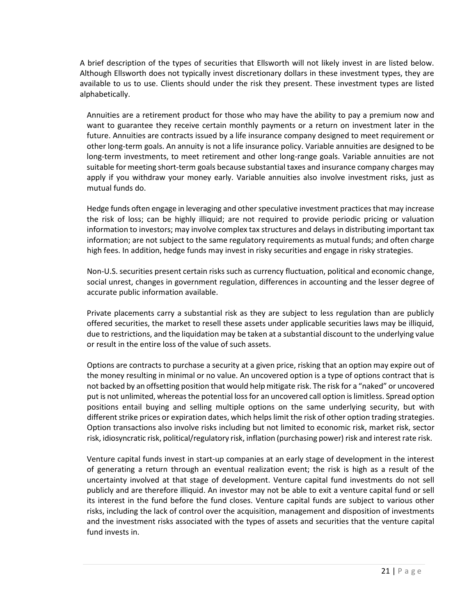A brief description of the types of securities that Ellsworth will not likely invest in are listed below. Although Ellsworth does not typically invest discretionary dollars in these investment types, they are available to us to use. Clients should under the risk they present. These investment types are listed alphabetically.

Annuities are a retirement product for those who may have the ability to pay a premium now and want to guarantee they receive certain monthly payments or a return on investment later in the future. Annuities are contracts issued by a life insurance company designed to meet requirement or other long-term goals. An annuity is not a life insurance policy. Variable annuities are designed to be long-term investments, to meet retirement and other long-range goals. Variable annuities are not suitable for meeting short-term goals because substantial taxes and insurance company charges may apply if you withdraw your money early. Variable annuities also involve investment risks, just as mutual funds do.

Hedge funds often engage in leveraging and other speculative investment practices that may increase the risk of loss; can be highly illiquid; are not required to provide periodic pricing or valuation information to investors; may involve complex tax structures and delays in distributing important tax information; are not subject to the same regulatory requirements as mutual funds; and often charge high fees. In addition, hedge funds may invest in risky securities and engage in risky strategies.

Non-U.S. securities present certain risks such as currency fluctuation, political and economic change, social unrest, changes in government regulation, differences in accounting and the lesser degree of accurate public information available.

Private placements carry a substantial risk as they are subject to less regulation than are publicly offered securities, the market to resell these assets under applicable securities laws may be illiquid, due to restrictions, and the liquidation may be taken at a substantial discount to the underlying value or result in the entire loss of the value of such assets.

Options are contracts to purchase a security at a given price, risking that an option may expire out of the money resulting in minimal or no value. An uncovered option is a type of options contract that is not backed by an offsetting position that would help mitigate risk. The risk for a "naked" or uncovered put is not unlimited, whereas the potential loss for an uncovered call option is limitless. Spread option positions entail buying and selling multiple options on the same underlying security, but with different strike prices or expiration dates, which helps limit the risk of other option trading strategies. Option transactions also involve risks including but not limited to economic risk, market risk, sector risk, idiosyncratic risk, political/regulatory risk, inflation (purchasing power) risk and interest rate risk.

Venture capital funds invest in start-up companies at an early stage of development in the interest of generating a return through an eventual realization event; the risk is high as a result of the uncertainty involved at that stage of development. Venture capital fund investments do not sell publicly and are therefore illiquid. An investor may not be able to exit a venture capital fund or sell its interest in the fund before the fund closes. Venture capital funds are subject to various other risks, including the lack of control over the acquisition, management and disposition of investments and the investment risks associated with the types of assets and securities that the venture capital fund invests in.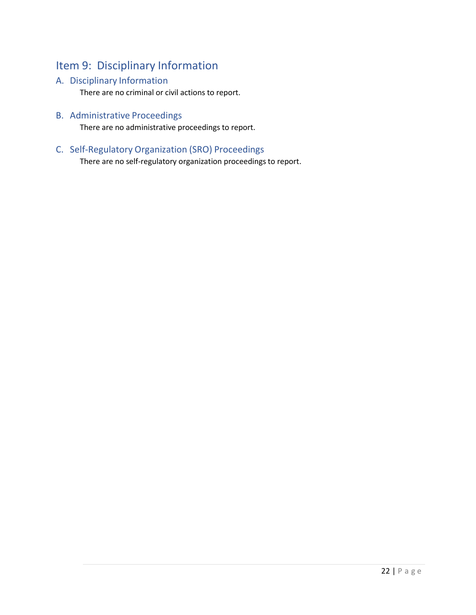# <span id="page-21-0"></span>Item 9: Disciplinary Information

# <span id="page-21-1"></span>A. Disciplinary Information

There are no criminal or civil actions to report.

<span id="page-21-2"></span>B. Administrative Proceedings

There are no administrative proceedings to report.

<span id="page-21-3"></span>C. Self-Regulatory Organization (SRO) Proceedings

There are no self-regulatory organization proceedings to report.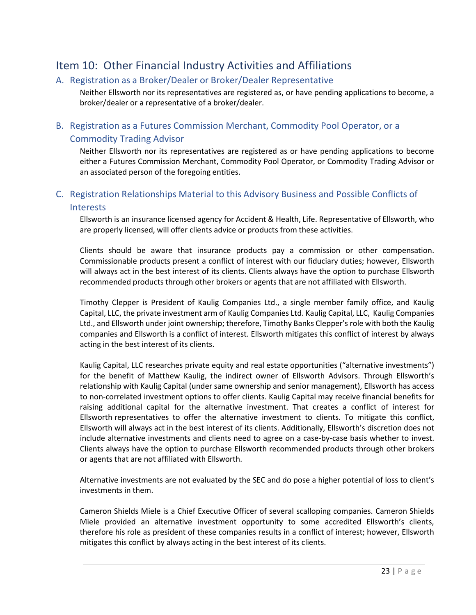# <span id="page-22-0"></span>Item 10: Other Financial Industry Activities and Affiliations

## <span id="page-22-1"></span>A. Registration as a Broker/Dealer or Broker/Dealer Representative

Neither Ellsworth nor its representatives are registered as, or have pending applications to become, a broker/dealer or a representative of a broker/dealer.

# <span id="page-22-2"></span>B. Registration as a Futures Commission Merchant, Commodity Pool Operator, or a Commodity Trading Advisor

Neither Ellsworth nor its representatives are registered as or have pending applications to become either a Futures Commission Merchant, Commodity Pool Operator, or Commodity Trading Advisor or an associated person of the foregoing entities.

# <span id="page-22-3"></span>C. Registration Relationships Material to this Advisory Business and Possible Conflicts of **Interests**

Ellsworth is an insurance licensed agency for Accident & Health, Life. Representative of Ellsworth, who are properly licensed, will offer clients advice or products from these activities.

Clients should be aware that insurance products pay a commission or other compensation. Commissionable products present a conflict of interest with our fiduciary duties; however, Ellsworth will always act in the best interest of its clients. Clients always have the option to purchase Ellsworth recommended products through other brokers or agents that are not affiliated with Ellsworth.

Timothy Clepper is President of Kaulig Companies Ltd., a single member family office, and Kaulig Capital, LLC, the private investment arm of Kaulig Companies Ltd. Kaulig Capital, LLC, Kaulig Companies Ltd., and Ellsworth under joint ownership; therefore, Timothy Banks Clepper's role with both the Kaulig companies and Ellsworth is a conflict of interest. Ellsworth mitigates this conflict of interest by always acting in the best interest of its clients.

Kaulig Capital, LLC researches private equity and real estate opportunities ("alternative investments") for the benefit of Matthew Kaulig, the indirect owner of Ellsworth Advisors. Through Ellsworth's relationship with Kaulig Capital (under same ownership and senior management), Ellsworth has access to non-correlated investment options to offer clients. Kaulig Capital may receive financial benefits for raising additional capital for the alternative investment. That creates a conflict of interest for Ellsworth representatives to offer the alternative investment to clients. To mitigate this conflict, Ellsworth will always act in the best interest of its clients. Additionally, Ellsworth's discretion does not include alternative investments and clients need to agree on a case-by-case basis whether to invest. Clients always have the option to purchase Ellsworth recommended products through other brokers or agents that are not affiliated with Ellsworth.

Alternative investments are not evaluated by the SEC and do pose a higher potential of loss to client's investments in them.

Cameron Shields Miele is a Chief Executive Officer of several scalloping companies. Cameron Shields Miele provided an alternative investment opportunity to some accredited Ellsworth's clients, therefore his role as president of these companies results in a conflict of interest; however, Ellsworth mitigates this conflict by always acting in the best interest of its clients.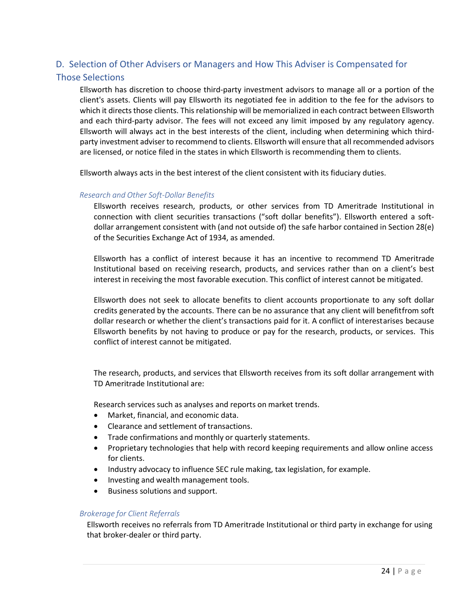# <span id="page-23-0"></span>D. Selection of Other Advisers or Managers and How This Adviser is Compensated for

## Those Selections

Ellsworth has discretion to choose third-party investment advisors to manage all or a portion of the client's assets. Clients will pay Ellsworth its negotiated fee in addition to the fee for the advisors to which it directs those clients. This relationship will be memorialized in each contract between Ellsworth and each third-party advisor. The fees will not exceed any limit imposed by any regulatory agency. Ellsworth will always act in the best interests of the client, including when determining which thirdparty investment adviser to recommend to clients. Ellsworth will ensure that all recommended advisors are licensed, or notice filed in the states in which Ellsworth is recommending them to clients.

Ellsworth always acts in the best interest of the client consistent with its fiduciary duties.

#### *Research and Other Soft-Dollar Benefits*

Ellsworth receives research, products, or other services from TD Ameritrade Institutional in connection with client securities transactions ("soft dollar benefits"). Ellsworth entered a softdollar arrangement consistent with (and not outside of) the safe harbor contained in Section 28(e) of the Securities Exchange Act of 1934, as amended.

Ellsworth has a conflict of interest because it has an incentive to recommend TD Ameritrade Institutional based on receiving research, products, and services rather than on a client's best interest in receiving the most favorable execution. This conflict of interest cannot be mitigated.

Ellsworth does not seek to allocate benefits to client accounts proportionate to any soft dollar credits generated by the accounts. There can be no assurance that any client will benefitfrom soft dollar research or whether the client's transactions paid for it. A conflict of interestarises because Ellsworth benefits by not having to produce or pay for the research, products, or services. This conflict of interest cannot be mitigated.

The research, products, and services that Ellsworth receives from its soft dollar arrangement with TD Ameritrade Institutional are:

Research services such as analyses and reports on market trends.

- Market, financial, and economic data.
- Clearance and settlement of transactions.
- Trade confirmations and monthly or quarterly statements.
- Proprietary technologies that help with record keeping requirements and allow online access for clients.
- Industry advocacy to influence SEC rule making, tax legislation, for example.
- Investing and wealth management tools.
- Business solutions and support.

#### *Brokerage for Client Referrals*

Ellsworth receives no referrals from TD Ameritrade Institutional or third party in exchange for using that broker-dealer or third party.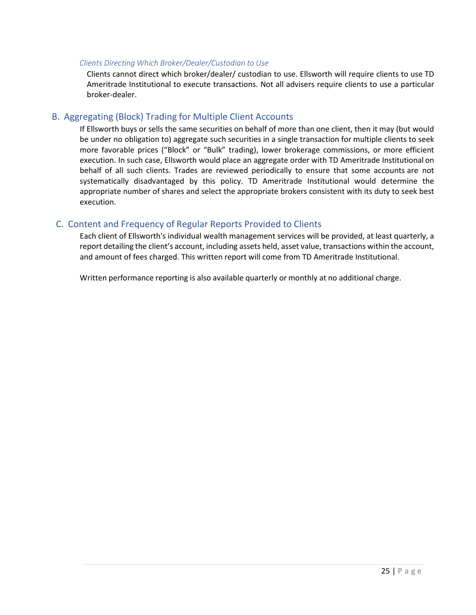#### *Clients Directing Which Broker/Dealer/Custodian to Use*

Clients cannot direct which broker/dealer/ custodian to use. Ellsworth will require clients to use TD Ameritrade Institutional to execute transactions. Not all advisers require clients to use a particular broker-dealer.

## <span id="page-24-0"></span>B. Aggregating (Block) Trading for Multiple Client Accounts

If Ellsworth buys or sells the same securities on behalf of more than one client, then it may (but would be under no obligation to) aggregate such securities in a single transaction for multiple clients to seek more favorable prices ("Block" or "Bulk" trading), lower brokerage commissions, or more efficient execution. In such case, Ellsworth would place an aggregate order with TD Ameritrade Institutional on behalf of all such clients. Trades are reviewed periodically to ensure that some accounts are not systematically disadvantaged by this policy. TD Ameritrade Institutional would determine the appropriate number of shares and select the appropriate brokers consistent with its duty to seek best execution.

## <span id="page-24-1"></span>C. Content and Frequency of Regular Reports Provided to Clients

Each client of Ellsworth's individual wealth management services will be provided, at least quarterly, a report detailing the client's account, including assets held, asset value, transactions within the account, and amount of fees charged. This written report will come from TD Ameritrade Institutional.

Written performance reporting is also available quarterly or monthly at no additional charge.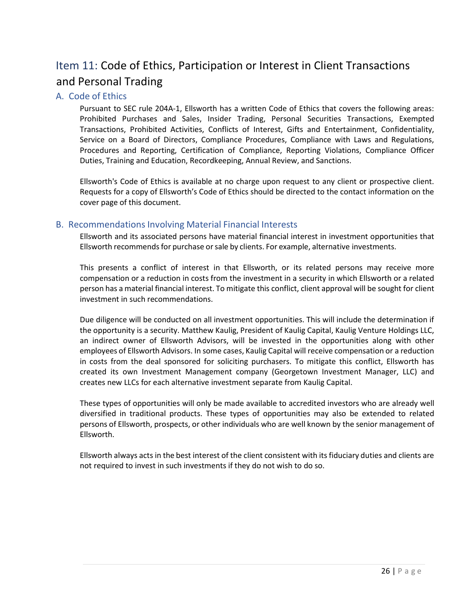# <span id="page-25-0"></span>Item 11: Code of Ethics, Participation or Interest in Client Transactions and Personal Trading

## <span id="page-25-1"></span>A. Code of Ethics

Pursuant to SEC rule 204A-1, Ellsworth has a written Code of Ethics that covers the following areas: Prohibited Purchases and Sales, Insider Trading, Personal Securities Transactions, Exempted Transactions, Prohibited Activities, Conflicts of Interest, Gifts and Entertainment, Confidentiality, Service on a Board of Directors, Compliance Procedures, Compliance with Laws and Regulations, Procedures and Reporting, Certification of Compliance, Reporting Violations, Compliance Officer Duties, Training and Education, Recordkeeping, Annual Review, and Sanctions.

Ellsworth's Code of Ethics is available at no charge upon request to any client or prospective client. Requests for a copy of Ellsworth's Code of Ethics should be directed to the contact information on the cover page of this document.

# <span id="page-25-2"></span>B. Recommendations Involving Material Financial Interests

Ellsworth and its associated persons have material financial interest in investment opportunities that Ellsworth recommendsfor purchase orsale by clients. For example, alternative investments.

This presents a conflict of interest in that Ellsworth, or its related persons may receive more compensation or a reduction in costs from the investment in a security in which Ellsworth or a related person has a material financial interest. To mitigate this conflict, client approval will be sought for client investment in such recommendations.

Due diligence will be conducted on all investment opportunities. This will include the determination if the opportunity is a security. Matthew Kaulig, President of Kaulig Capital, Kaulig Venture Holdings LLC, an indirect owner of Ellsworth Advisors, will be invested in the opportunities along with other employees of Ellsworth Advisors. In some cases, Kaulig Capital will receive compensation or a reduction in costs from the deal sponsored for soliciting purchasers. To mitigate this conflict, Ellsworth has created its own Investment Management company (Georgetown Investment Manager, LLC) and creates new LLCs for each alternative investment separate from Kaulig Capital.

These types of opportunities will only be made available to accredited investors who are already well diversified in traditional products. These types of opportunities may also be extended to related persons of Ellsworth, prospects, or other individuals who are well known by the senior management of Ellsworth.

Ellsworth always acts in the best interest of the client consistent with its fiduciary duties and clients are not required to invest in such investments if they do not wish to do so.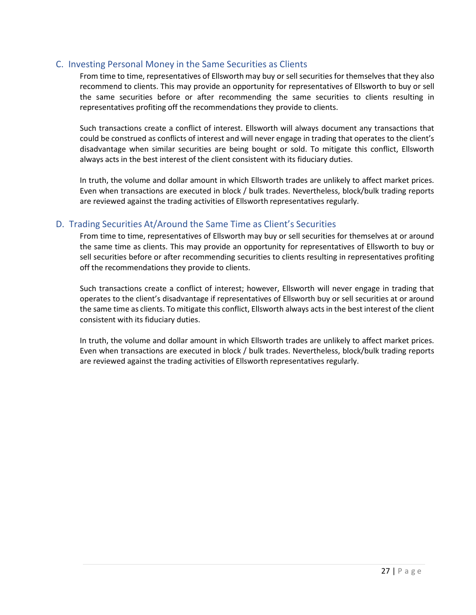## <span id="page-26-0"></span>C. Investing Personal Money in the Same Securities as Clients

From time to time, representatives of Ellsworth may buy or sell securities for themselves that they also recommend to clients. This may provide an opportunity for representatives of Ellsworth to buy or sell the same securities before or after recommending the same securities to clients resulting in representatives profiting off the recommendations they provide to clients.

Such transactions create a conflict of interest. Ellsworth will always document any transactions that could be construed as conflicts of interest and will never engage in trading that operates to the client's disadvantage when similar securities are being bought or sold. To mitigate this conflict, Ellsworth always acts in the best interest of the client consistent with its fiduciary duties.

In truth, the volume and dollar amount in which Ellsworth trades are unlikely to affect market prices. Even when transactions are executed in block / bulk trades. Nevertheless, block/bulk trading reports are reviewed against the trading activities of Ellsworth representatives regularly.

## <span id="page-26-1"></span>D. Trading Securities At/Around the Same Time as Client's Securities

From time to time, representatives of Ellsworth may buy or sell securities for themselves at or around the same time as clients. This may provide an opportunity for representatives of Ellsworth to buy or sell securities before or after recommending securities to clients resulting in representatives profiting off the recommendations they provide to clients.

Such transactions create a conflict of interest; however, Ellsworth will never engage in trading that operates to the client's disadvantage if representatives of Ellsworth buy or sell securities at or around the same time as clients. To mitigate this conflict, Ellsworth always acts in the best interest of the client consistent with its fiduciary duties.

In truth, the volume and dollar amount in which Ellsworth trades are unlikely to affect market prices. Even when transactions are executed in block / bulk trades. Nevertheless, block/bulk trading reports are reviewed against the trading activities of Ellsworth representatives regularly.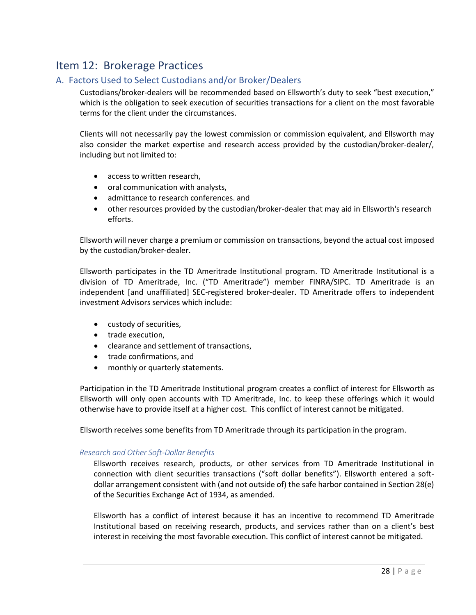# <span id="page-27-0"></span>Item 12: Brokerage Practices

# <span id="page-27-1"></span>A. Factors Used to Select Custodians and/or Broker/Dealers

Custodians/broker-dealers will be recommended based on Ellsworth's duty to seek "best execution," which is the obligation to seek execution of securities transactions for a client on the most favorable terms for the client under the circumstances.

Clients will not necessarily pay the lowest commission or commission equivalent, and Ellsworth may also consider the market expertise and research access provided by the custodian/broker-dealer/, including but not limited to:

- access to written research,
- oral communication with analysts,
- admittance to research conferences. and
- other resources provided by the custodian/broker-dealer that may aid in Ellsworth's research efforts.

Ellsworth will never charge a premium or commission on transactions, beyond the actual cost imposed by the custodian/broker-dealer.

Ellsworth participates in the TD Ameritrade Institutional program. TD Ameritrade Institutional is a division of TD Ameritrade, Inc. ("TD Ameritrade") member FINRA/SIPC. TD Ameritrade is an independent [and unaffiliated] SEC-registered broker-dealer. TD Ameritrade offers to independent investment Advisors services which include:

- custody of securities,
- trade execution,
- clearance and settlement of transactions,
- trade confirmations, and
- monthly or quarterly statements.

Participation in the TD Ameritrade Institutional program creates a conflict of interest for Ellsworth as Ellsworth will only open accounts with TD Ameritrade, Inc. to keep these offerings which it would otherwise have to provide itself at a higher cost. This conflict of interest cannot be mitigated.

Ellsworth receives some benefits from TD Ameritrade through its participation in the program.

### *Research and Other Soft-Dollar Benefits*

Ellsworth receives research, products, or other services from TD Ameritrade Institutional in connection with client securities transactions ("soft dollar benefits"). Ellsworth entered a softdollar arrangement consistent with (and not outside of) the safe harbor contained in Section 28(e) of the Securities Exchange Act of 1934, as amended.

Ellsworth has a conflict of interest because it has an incentive to recommend TD Ameritrade Institutional based on receiving research, products, and services rather than on a client's best interest in receiving the most favorable execution. This conflict of interest cannot be mitigated.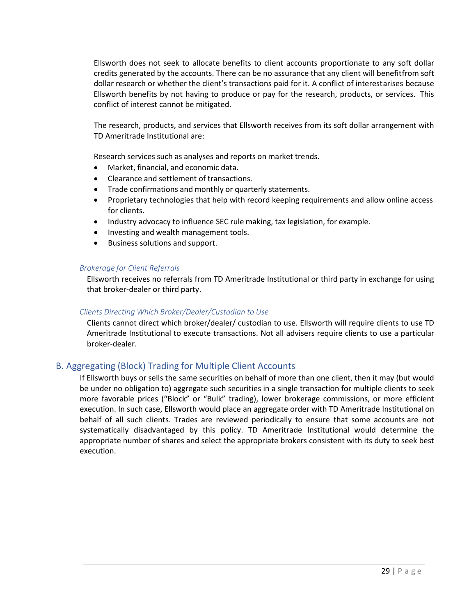Ellsworth does not seek to allocate benefits to client accounts proportionate to any soft dollar credits generated by the accounts. There can be no assurance that any client will benefitfrom soft dollar research or whether the client's transactions paid for it. A conflict of interestarises because Ellsworth benefits by not having to produce or pay for the research, products, or services. This conflict of interest cannot be mitigated.

The research, products, and services that Ellsworth receives from its soft dollar arrangement with TD Ameritrade Institutional are:

Research services such as analyses and reports on market trends.

- Market, financial, and economic data.
- Clearance and settlement of transactions.
- Trade confirmations and monthly or quarterly statements.
- Proprietary technologies that help with record keeping requirements and allow online access for clients.
- Industry advocacy to influence SEC rule making, tax legislation, for example.
- Investing and wealth management tools.
- Business solutions and support.

#### *Brokerage for Client Referrals*

Ellsworth receives no referrals from TD Ameritrade Institutional or third party in exchange for using that broker-dealer or third party.

#### *Clients Directing Which Broker/Dealer/Custodian to Use*

Clients cannot direct which broker/dealer/ custodian to use. Ellsworth will require clients to use TD Ameritrade Institutional to execute transactions. Not all advisers require clients to use a particular broker-dealer.

## <span id="page-28-0"></span>B. Aggregating (Block) Trading for Multiple Client Accounts

If Ellsworth buys or sells the same securities on behalf of more than one client, then it may (but would be under no obligation to) aggregate such securities in a single transaction for multiple clients to seek more favorable prices ("Block" or "Bulk" trading), lower brokerage commissions, or more efficient execution. In such case, Ellsworth would place an aggregate order with TD Ameritrade Institutional on behalf of all such clients. Trades are reviewed periodically to ensure that some accounts are not systematically disadvantaged by this policy. TD Ameritrade Institutional would determine the appropriate number of shares and select the appropriate brokers consistent with its duty to seek best execution.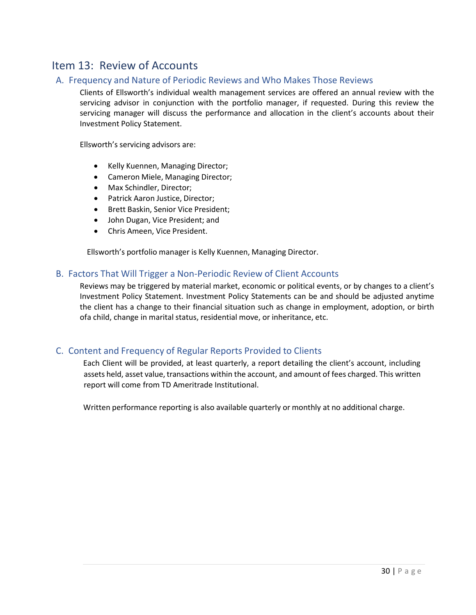# <span id="page-29-0"></span>Item 13: Review of Accounts

# <span id="page-29-1"></span>A. Frequency and Nature of Periodic Reviews and Who Makes Those Reviews

Clients of Ellsworth's individual wealth management services are offered an annual review with the servicing advisor in conjunction with the portfolio manager, if requested. During this review the servicing manager will discuss the performance and allocation in the client's accounts about their Investment Policy Statement.

Ellsworth's servicing advisors are:

- Kelly Kuennen, Managing Director;
- Cameron Miele, Managing Director;
- Max Schindler, Director;
- Patrick Aaron Justice, Director;
- Brett Baskin, Senior Vice President;
- John Dugan, Vice President; and
- Chris Ameen, Vice President.

Ellsworth's portfolio manager is Kelly Kuennen, Managing Director.

# <span id="page-29-2"></span>B. Factors That Will Trigger a Non-Periodic Review of Client Accounts

Reviews may be triggered by material market, economic or political events, or by changes to a client's Investment Policy Statement. Investment Policy Statements can be and should be adjusted anytime the client has a change to their financial situation such as change in employment, adoption, or birth ofa child, change in marital status, residential move, or inheritance, etc.

# <span id="page-29-3"></span>C. Content and Frequency of Regular Reports Provided to Clients

Each Client will be provided, at least quarterly, a report detailing the client's account, including assets held, asset value, transactions within the account, and amount of fees charged. This written report will come from TD Ameritrade Institutional.

Written performance reporting is also available quarterly or monthly at no additional charge.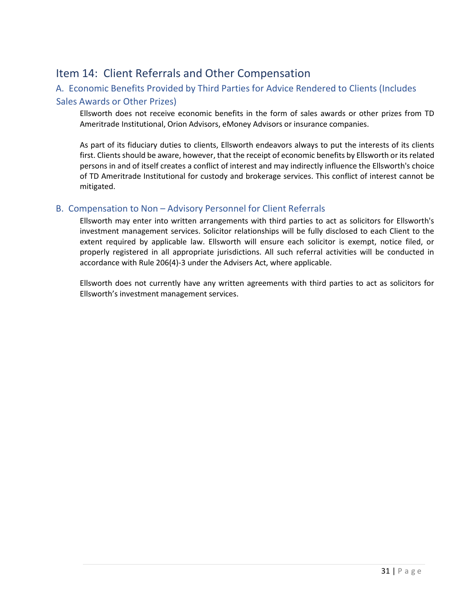# <span id="page-30-0"></span>Item 14: Client Referrals and Other Compensation

# <span id="page-30-1"></span>A. Economic Benefits Provided by Third Parties for Advice Rendered to Clients (Includes

## Sales Awards or Other Prizes)

Ellsworth does not receive economic benefits in the form of sales awards or other prizes from TD Ameritrade Institutional, Orion Advisors, eMoney Advisors or insurance companies.

As part of its fiduciary duties to clients, Ellsworth endeavors always to put the interests of its clients first. Clients should be aware, however, that the receipt of economic benefits by Ellsworth or its related persons in and of itself creates a conflict of interest and may indirectly influence the Ellsworth's choice of TD Ameritrade Institutional for custody and brokerage services. This conflict of interest cannot be mitigated.

# <span id="page-30-2"></span>B. Compensation to Non – Advisory Personnel for Client Referrals

Ellsworth may enter into written arrangements with third parties to act as solicitors for Ellsworth's investment management services. Solicitor relationships will be fully disclosed to each Client to the extent required by applicable law. Ellsworth will ensure each solicitor is exempt, notice filed, or properly registered in all appropriate jurisdictions. All such referral activities will be conducted in accordance with Rule 206(4)-3 under the Advisers Act, where applicable.

Ellsworth does not currently have any written agreements with third parties to act as solicitors for Ellsworth's investment management services.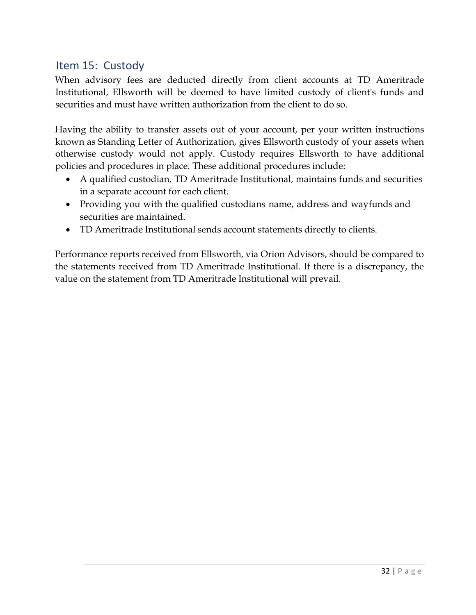# <span id="page-31-0"></span>Item 15: Custody

When advisory fees are deducted directly from client accounts at TD Ameritrade Institutional, Ellsworth will be deemed to have limited custody of client's funds and securities and must have written authorization from the client to do so.

Having the ability to transfer assets out of your account, per your written instructions known as Standing Letter of Authorization, gives Ellsworth custody of your assets when otherwise custody would not apply. Custody requires Ellsworth to have additional policies and procedures in place. These additional procedures include:

- A qualified custodian, TD Ameritrade Institutional, maintains funds and securities in a separate account for each client.
- Providing you with the qualified custodians name, address and wayfunds and securities are maintained.
- TD Ameritrade Institutional sends account statements directly to clients.

Performance reports received from Ellsworth, via Orion Advisors, should be compared to the statements received from TD Ameritrade Institutional. If there is a discrepancy, the value on the statement from TD Ameritrade Institutional will prevail.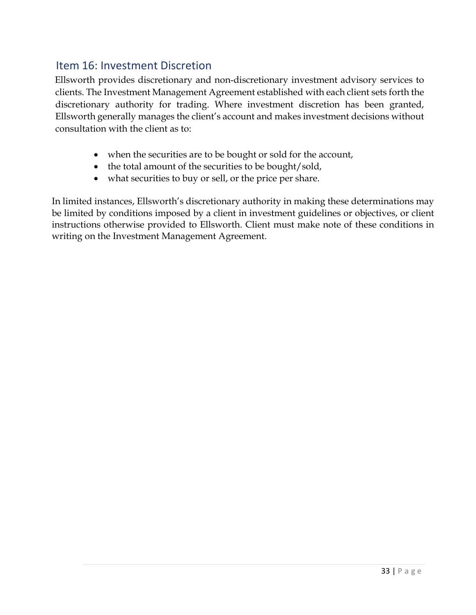# Item 16: Investment Discretion

Ellsworth provides discretionary and non-discretionary investment advisory services to clients. The Investment Management Agreement established with each client sets forth the discretionary authority for trading. Where investment discretion has been granted, Ellsworth generally manages the client's account and makes investment decisions without consultation with the client as to:

- when the securities are to be bought or sold for the account,
- the total amount of the securities to be bought/sold,
- what securities to buy or sell, or the price per share.

In limited instances, Ellsworth's discretionary authority in making these determinations may be limited by conditions imposed by a client in investment guidelines or objectives, or client instructions otherwise provided to Ellsworth. Client must make note of these conditions in writing on the Investment Management Agreement.